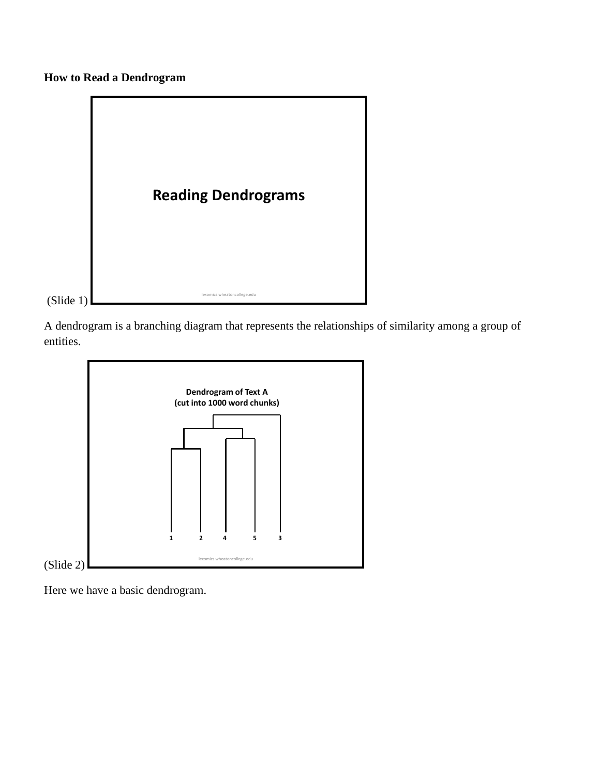**How to Read a Dendrogram**



A dendrogram is a branching diagram that represents the relationships of similarity among a group of entities.



Here we have a basic dendrogram.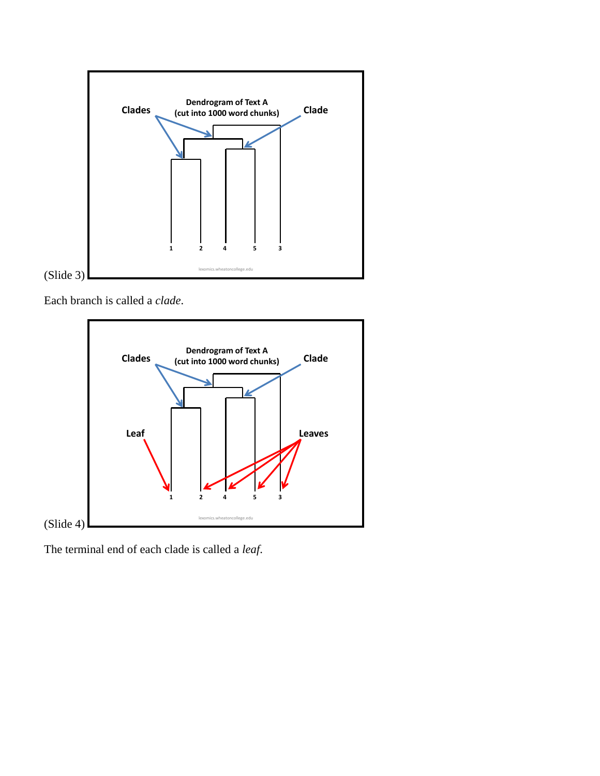

Each branch is called a *clade*.



The terminal end of each clade is called a *leaf*.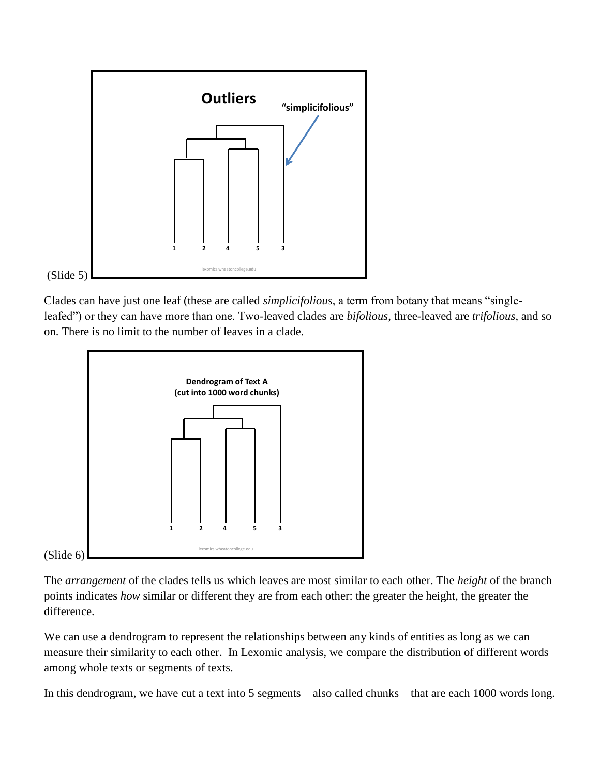

Clades can have just one leaf (these are called *simplicifolious*, a term from botany that means "singleleafed") or they can have more than one. Two-leaved clades are *bifolious*, three-leaved are *trifolious*, and so on. There is no limit to the number of leaves in a clade.



The *arrangement* of the clades tells us which leaves are most similar to each other. The *height* of the branch points indicates *how* similar or different they are from each other: the greater the height, the greater the difference.

We can use a dendrogram to represent the relationships between any kinds of entities as long as we can measure their similarity to each other. In Lexomic analysis, we compare the distribution of different words among whole texts or segments of texts.

In this dendrogram, we have cut a text into 5 segments—also called chunks—that are each 1000 words long.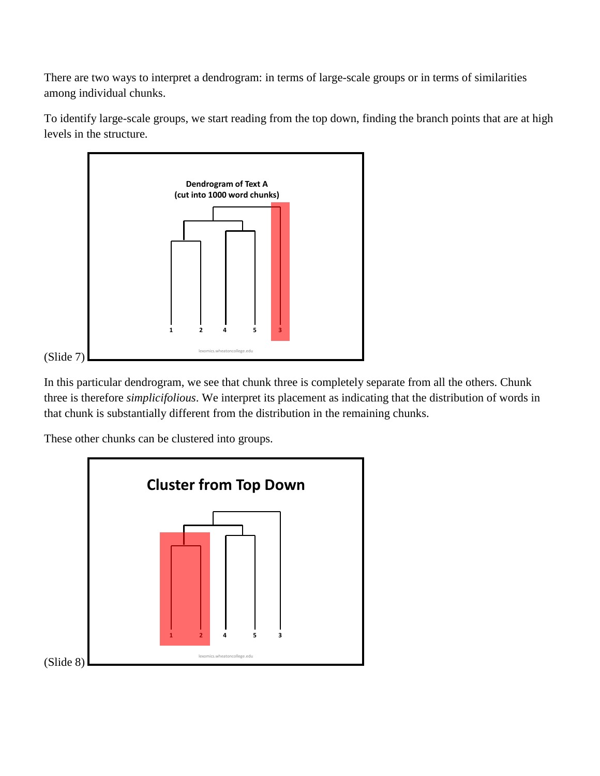There are two ways to interpret a dendrogram: in terms of large-scale groups or in terms of similarities among individual chunks.

To identify large-scale groups, we start reading from the top down, finding the branch points that are at high levels in the structure.



In this particular dendrogram, we see that chunk three is completely separate from all the others. Chunk three is therefore *simplicifolious*. We interpret its placement as indicating that the distribution of words in that chunk is substantially different from the distribution in the remaining chunks.

These other chunks can be clustered into groups.

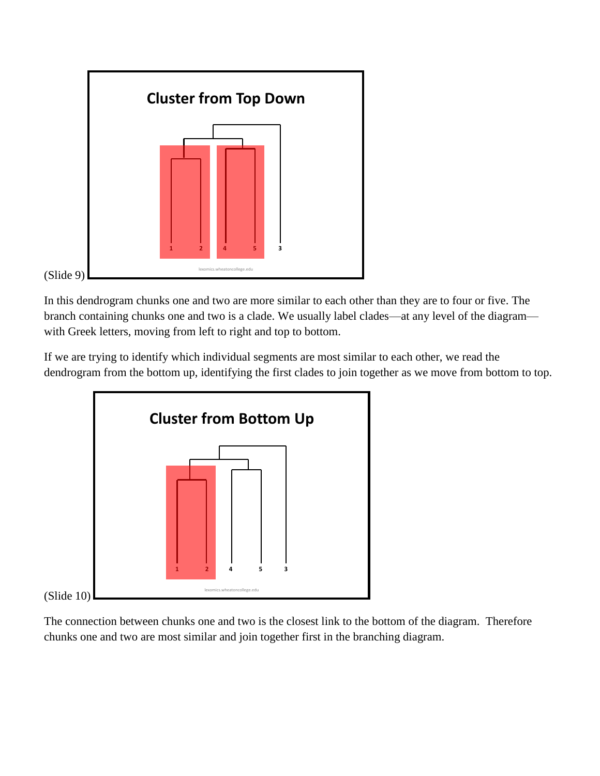

In this dendrogram chunks one and two are more similar to each other than they are to four or five. The branch containing chunks one and two is a clade. We usually label clades—at any level of the diagram with Greek letters, moving from left to right and top to bottom.

If we are trying to identify which individual segments are most similar to each other, we read the dendrogram from the bottom up, identifying the first clades to join together as we move from bottom to top.



The connection between chunks one and two is the closest link to the bottom of the diagram. Therefore chunks one and two are most similar and join together first in the branching diagram.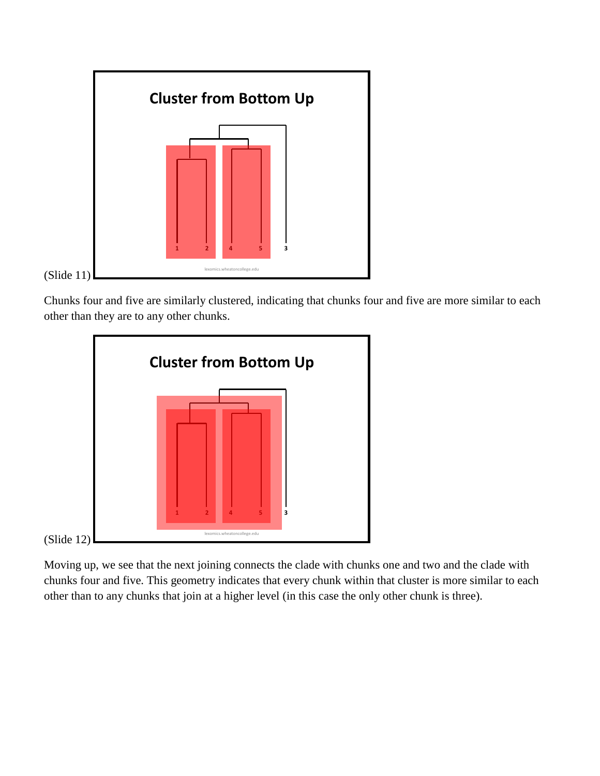

Chunks four and five are similarly clustered, indicating that chunks four and five are more similar to each other than they are to any other chunks.



Moving up, we see that the next joining connects the clade with chunks one and two and the clade with chunks four and five. This geometry indicates that every chunk within that cluster is more similar to each other than to any chunks that join at a higher level (in this case the only other chunk is three).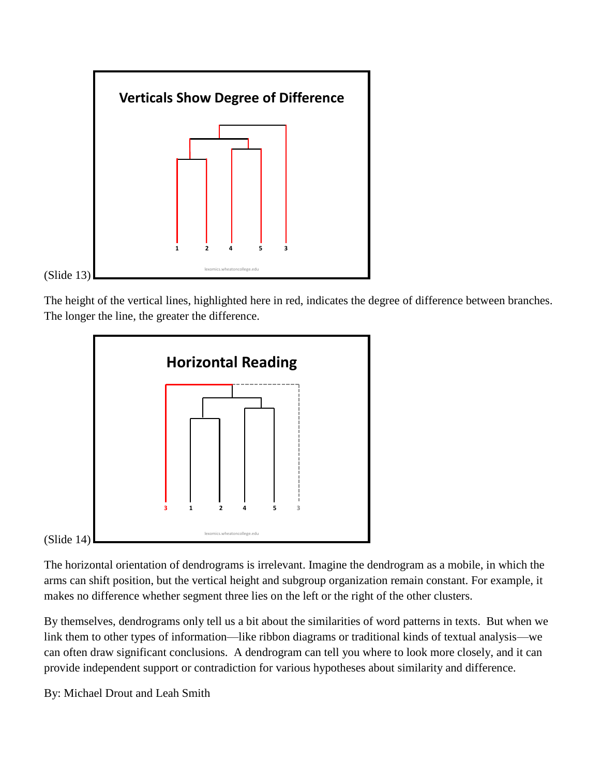

The height of the vertical lines, highlighted here in red, indicates the degree of difference between branches. The longer the line, the greater the difference.



The horizontal orientation of dendrograms is irrelevant. Imagine the dendrogram as a mobile, in which the arms can shift position, but the vertical height and subgroup organization remain constant. For example, it makes no difference whether segment three lies on the left or the right of the other clusters.

By themselves, dendrograms only tell us a bit about the similarities of word patterns in texts. But when we link them to other types of information—like ribbon diagrams or traditional kinds of textual analysis—we can often draw significant conclusions. A dendrogram can tell you where to look more closely, and it can provide independent support or contradiction for various hypotheses about similarity and difference.

By: Michael Drout and Leah Smith